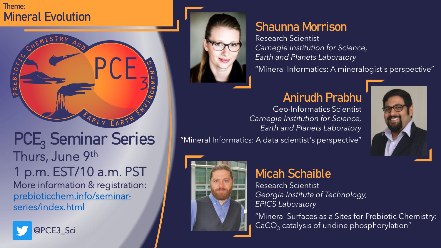#### **Theme: Mineral Evolution**



# **PCE<sup>3</sup> Seminar Series** Thurs, June 9th 1 p.m. EST/10 a.m. PST More information & registration: [prebioticchem.info/seminar](http://prebioticchem.info/seminar-series/index.html)series/index.html





# **Shaunna Morrison**

Research Scientist *Carnegie Institution for Science, Earth and Planets Laboratory*

"Mineral Informatics: A mineralogist's perspective"

### **Anirudh Prabhu**

Geo-Informatics Scientist *Carnegie Institution for Science, Earth and Planets Laboratory*



"Mineral Informatics: A data scientist's perspective"



## **Micah Schaible**

Research Scientist *Georgia Institute of Technology, EPICS Laboratory*

"Mineral Surfaces as a Sites for Prebiotic Chemistry:  $CaCO<sub>3</sub>$  catalysis of uridine phosphorylation"